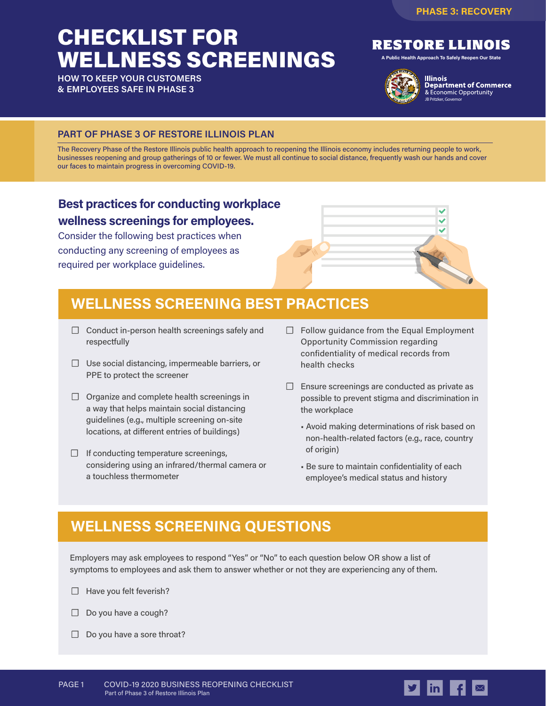# CHECKLIST FOR WELLNESS SCREENINGS

**HOW TO KEEP YOUR CUSTOMERS & EMPLOYEES SAFE IN PHASE 3**



**A Public Health Approach To Safely Reopen Our State**



**Illinois Department of Commerce** & Economic Opportunity JB Pritzker, Governor

#### **PART OF PHASE 3 OF RESTORE ILLINOIS PLAN**

The Recovery Phase of the Restore Illinois public health approach to reopening the Illinois economy includes returning people to work, businesses reopening and group gatherings of 10 or fewer. We must all continue to social distance, frequently wash our hands and cover our faces to maintain progress in overcoming COVID-19.

#### **Best practices for conducting workplace wellness screenings for employees.**

Consider the following best practices when conducting any screening of employees as required per workplace guidelines.

## **WELLNESS SCREENING BEST PRACTICES**

- **☐** Conduct in-person health screenings safely and respectfully
- **☐** Use social distancing, impermeable barriers, or PPE to protect the screener
- **☐** Organize and complete health screenings in a way that helps maintain social distancing guidelines (e.g., multiple screening on-site locations, at different entries of buildings)
- **☐** If conducting temperature screenings, considering using an infrared/thermal camera or a touchless thermometer
- **☐** Follow guidance from the Equal Employment Opportunity Commission regarding confidentiality of medical records from health checks
- **☐** Ensure screenings are conducted as private as possible to prevent stigma and discrimination in the workplace
	- Avoid making determinations of risk based on non-health-related factors (e.g., race, country of origin)
	- Be sure to maintain confidentiality of each employee's medical status and history

## **WELLNESS SCREENING QUESTIONS**

Employers may ask employees to respond "Yes" or "No" to each question below OR show a list of symptoms to employees and ask them to answer whether or not they are experiencing any of them.

- **☐** Have you felt feverish?
- **☐** Do you have a cough?
- **☐** Do you have a sore throat?